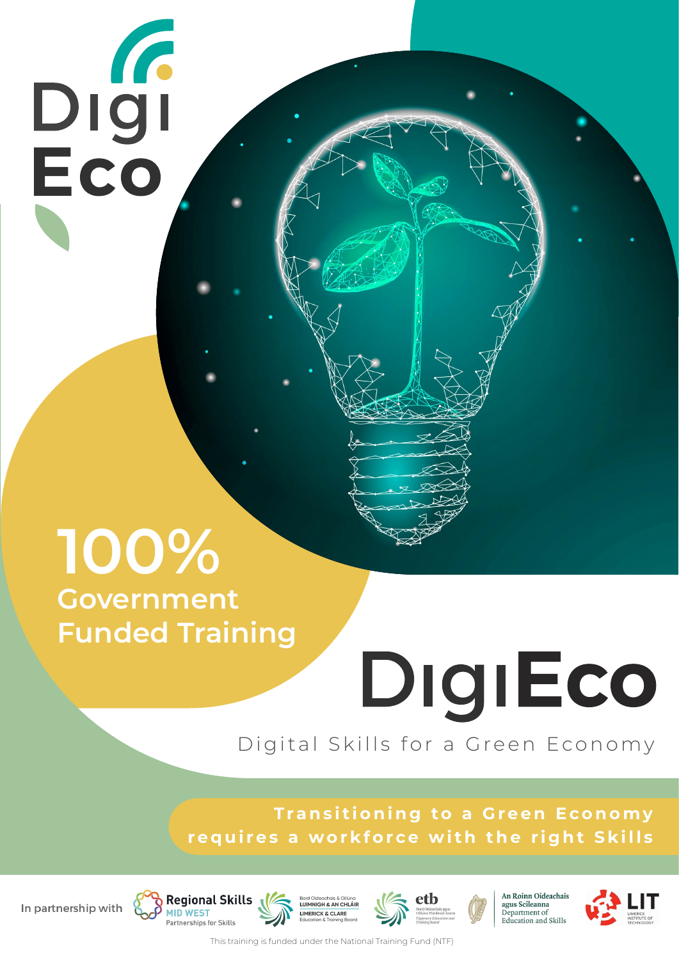# DIGI<br>Eco

## **100% Government Funded Training**

**Regional Skills** 

**MID WEST** 

Partnerships for Skills

## DigiEco Digital Skills for a Green Economy

**Transitioning to a Green Economy** requires a workforce with the right Skills



agus Scileanna<br>Department of Education and Skills



This training is funded under the National Training Fund (NTF)

LUIMNIGH & AN CHLÁIR

**LIMERICK & CLARE** 

In partnership with